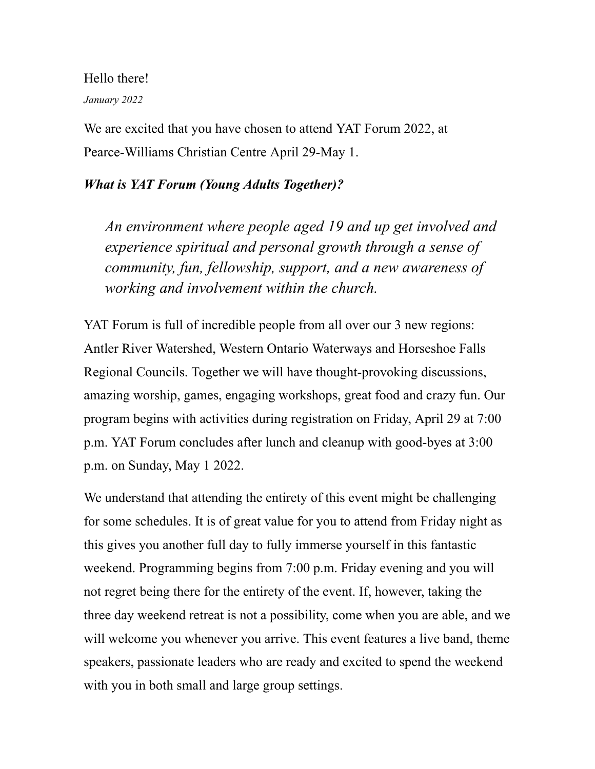Hello there!

## *January 2022*

We are excited that you have chosen to attend YAT Forum 2022, at Pearce-Williams Christian Centre April 29-May 1.

## *What is YAT Forum (Young Adults Together)?*

*An environment where people aged 19 and up get involved and experience spiritual and personal growth through a sense of community, fun, fellowship, support, and a new awareness of working and involvement within the church.*

YAT Forum is full of incredible people from all over our 3 new regions: Antler River Watershed, Western Ontario Waterways and Horseshoe Falls Regional Councils. Together we will have thought-provoking discussions, amazing worship, games, engaging workshops, great food and crazy fun. Our program begins with activities during registration on Friday, April 29 at 7:00 p.m. YAT Forum concludes after lunch and cleanup with good-byes at 3:00 p.m. on Sunday, May 1 2022.

We understand that attending the entirety of this event might be challenging for some schedules. It is of great value for you to attend from Friday night as this gives you another full day to fully immerse yourself in this fantastic weekend. Programming begins from 7:00 p.m. Friday evening and you will not regret being there for the entirety of the event. If, however, taking the three day weekend retreat is not a possibility, come when you are able, and we will welcome you whenever you arrive. This event features a live band, theme speakers, passionate leaders who are ready and excited to spend the weekend with you in both small and large group settings.